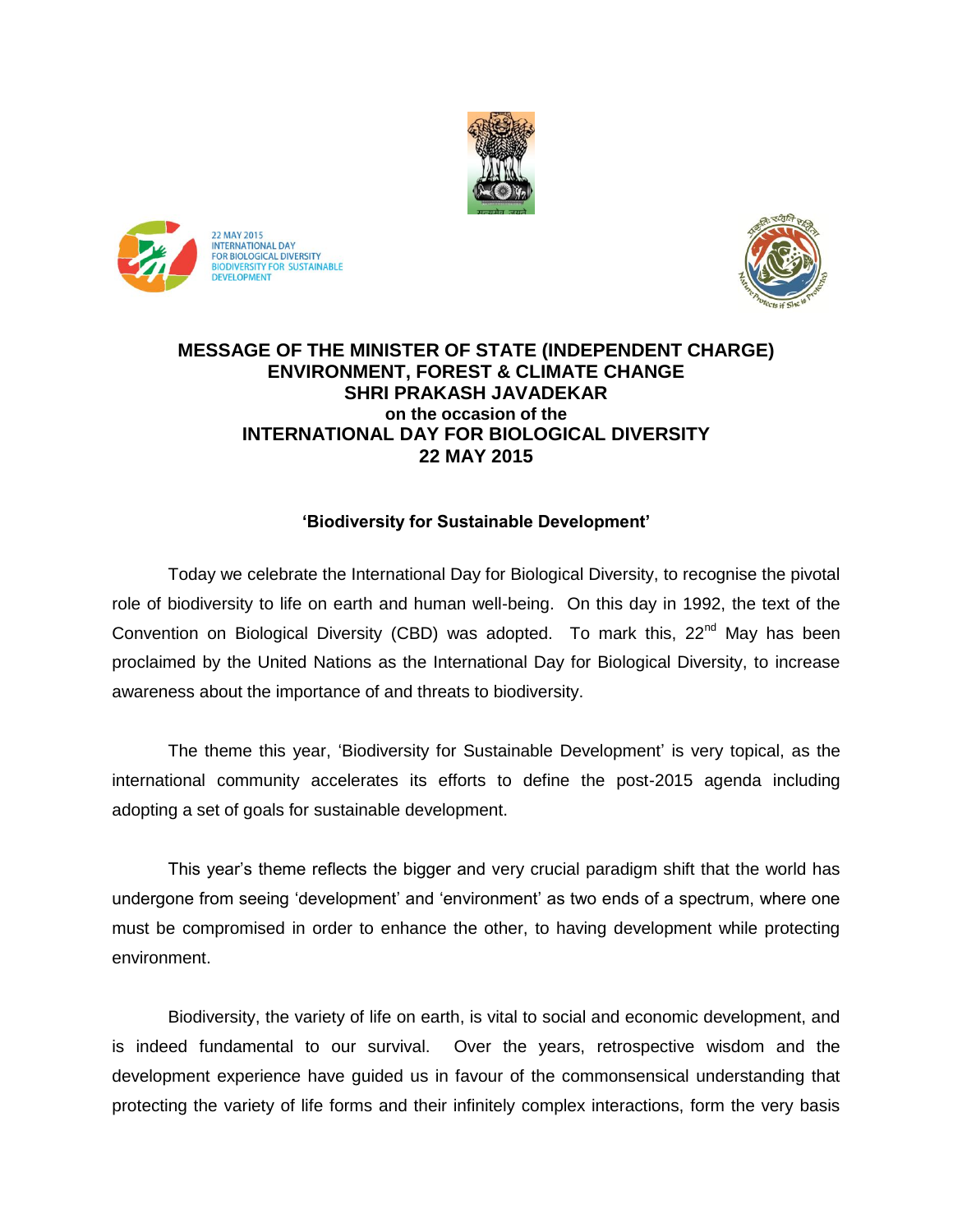





## **MESSAGE OF THE MINISTER OF STATE (INDEPENDENT CHARGE) ENVIRONMENT, FOREST & CLIMATE CHANGE SHRI PRAKASH JAVADEKAR on the occasion of the INTERNATIONAL DAY FOR BIOLOGICAL DIVERSITY 22 MAY 2015**

## **'Biodiversity for Sustainable Development'**

Today we celebrate the International Day for Biological Diversity, to recognise the pivotal role of biodiversity to life on earth and human well-being. On this day in 1992, the text of the Convention on Biological Diversity (CBD) was adopted. To mark this,  $22^{nd}$  May has been proclaimed by the United Nations as the International Day for Biological Diversity, to increase awareness about the importance of and threats to biodiversity.

The theme this year, 'Biodiversity for Sustainable Development' is very topical, as the international community accelerates its efforts to define the post-2015 agenda including adopting a set of goals for sustainable development.

This year's theme reflects the bigger and very crucial paradigm shift that the world has undergone from seeing 'development' and 'environment' as two ends of a spectrum, where one must be compromised in order to enhance the other, to having development while protecting environment.

Biodiversity, the variety of life on earth, is vital to social and economic development, and is indeed fundamental to our survival. Over the years, retrospective wisdom and the development experience have guided us in favour of the commonsensical understanding that protecting the variety of life forms and their infinitely complex interactions, form the very basis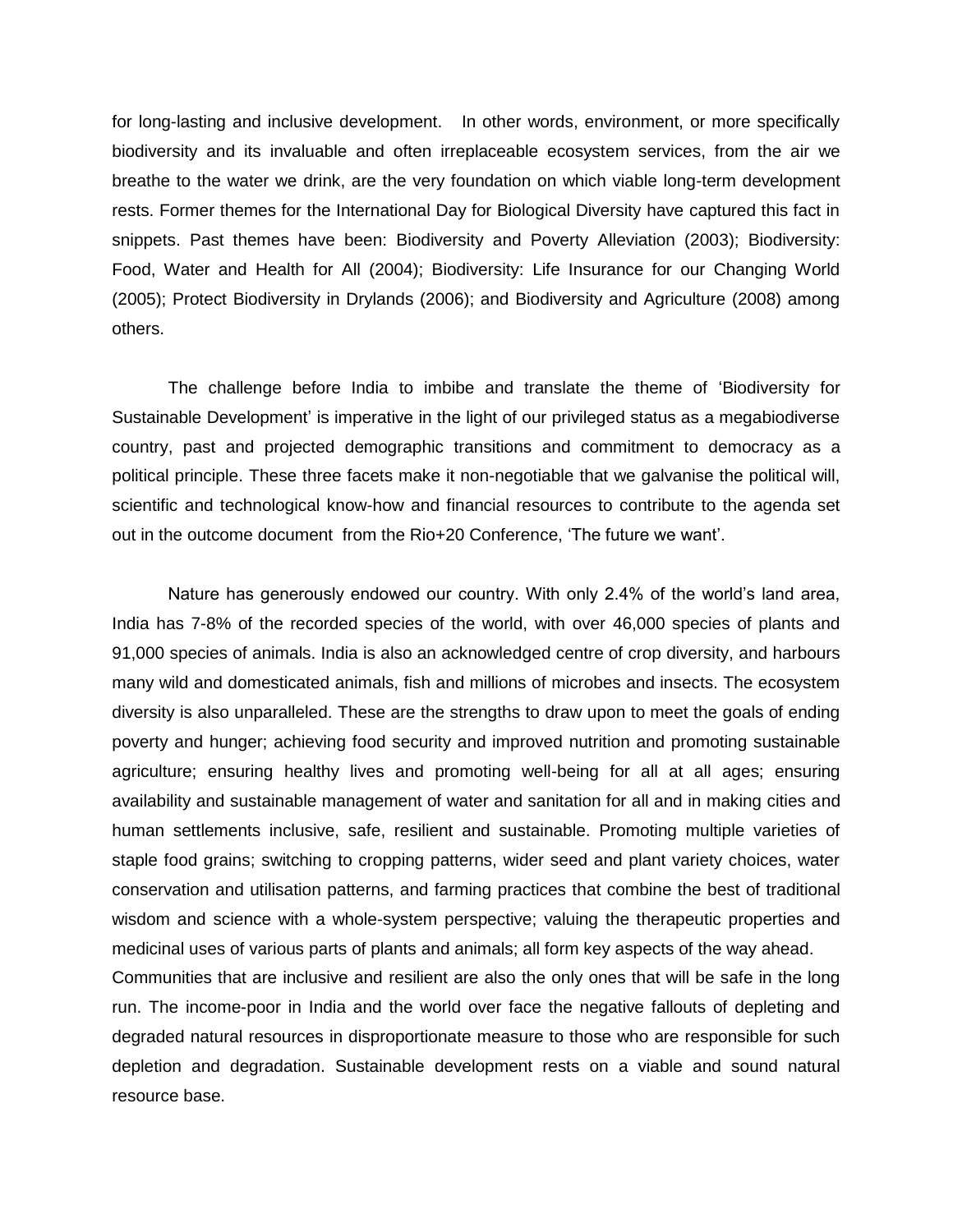for long-lasting and inclusive development. In other words, environment, or more specifically biodiversity and its invaluable and often irreplaceable ecosystem services, from the air we breathe to the water we drink, are the very foundation on which viable long-term development rests. Former themes for the International Day for Biological Diversity have captured this fact in snippets. Past themes have been: Biodiversity and Poverty Alleviation (2003); Biodiversity: Food, Water and Health for All (2004); Biodiversity: Life Insurance for our Changing World (2005); Protect Biodiversity in Drylands (2006); and Biodiversity and Agriculture (2008) among others.

The challenge before India to imbibe and translate the theme of 'Biodiversity for Sustainable Development' is imperative in the light of our privileged status as a megabiodiverse country, past and projected demographic transitions and commitment to democracy as a political principle. These three facets make it non-negotiable that we galvanise the political will, scientific and technological know-how and financial resources to contribute to the agenda set out in the outcome document from the Rio+20 Conference, 'The future we want'.

Nature has generously endowed our country. With only 2.4% of the world's land area, India has 7-8% of the recorded species of the world, with over 46,000 species of plants and 91,000 species of animals. India is also an acknowledged centre of crop diversity, and harbours many wild and domesticated animals, fish and millions of microbes and insects. The ecosystem diversity is also unparalleled. These are the strengths to draw upon to meet the goals of ending poverty and hunger; achieving food security and improved nutrition and promoting sustainable agriculture; ensuring healthy lives and promoting well-being for all at all ages; ensuring availability and sustainable management of water and sanitation for all and in making cities and human settlements inclusive, safe, resilient and sustainable. Promoting multiple varieties of staple food grains; switching to cropping patterns, wider seed and plant variety choices, water conservation and utilisation patterns, and farming practices that combine the best of traditional wisdom and science with a whole-system perspective; valuing the therapeutic properties and medicinal uses of various parts of plants and animals; all form key aspects of the way ahead. Communities that are inclusive and resilient are also the only ones that will be safe in the long run. The income-poor in India and the world over face the negative fallouts of depleting and degraded natural resources in disproportionate measure to those who are responsible for such depletion and degradation. Sustainable development rests on a viable and sound natural

resource base.